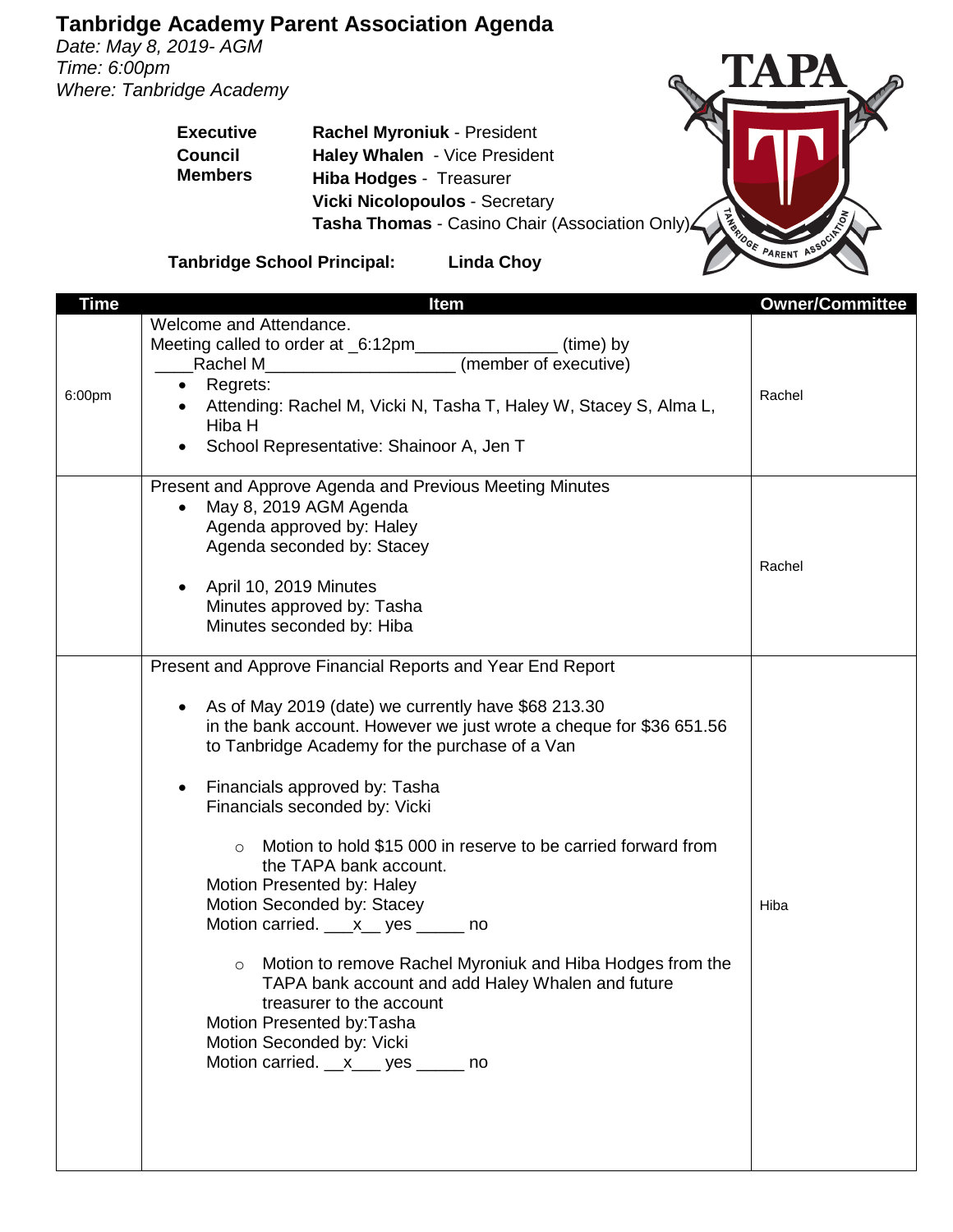*Date: May 8, 2019- AGM Time: 6:00pm Where: Tanbridge Academy*

> **Executive Council Members**

TA PA The Prince of Britain Prince of Britain Prince of Britain Prince of Britain Prince of Britain Prince of Britain Prince of Britain Prince of Britain Prince of Britain Prince of Britain Prince of Britain Prince of Britain Pr

**Hiba Hodges** - Treasurer **Vicki Nicolopoulos** - Secretary **Tasha Thomas** - Casino Chair (Association Only)

**Rachel Myroniuk** - President **Haley Whalen** - Vice President

**Tanbridge School Principal: Linda Choy**

| <b>Time</b> | Item                                                                     | <b>Owner/Committee</b> |
|-------------|--------------------------------------------------------------------------|------------------------|
|             | Welcome and Attendance.                                                  |                        |
|             | Meeting called to order at _6:12pm__________________<br>(time) by        |                        |
|             | (member of executive)                                                    |                        |
|             | • Regrets:                                                               |                        |
| 6:00pm      | • Attending: Rachel M, Vicki N, Tasha T, Haley W, Stacey S, Alma L,      | Rachel                 |
|             | Hiba H                                                                   |                        |
|             | School Representative: Shainoor A, Jen T                                 |                        |
|             |                                                                          |                        |
|             | Present and Approve Agenda and Previous Meeting Minutes                  |                        |
|             | May 8, 2019 AGM Agenda                                                   |                        |
|             |                                                                          |                        |
|             | Agenda approved by: Haley                                                |                        |
|             | Agenda seconded by: Stacey                                               |                        |
|             |                                                                          | Rachel                 |
|             | April 10, 2019 Minutes                                                   |                        |
|             | Minutes approved by: Tasha                                               |                        |
|             | Minutes seconded by: Hiba                                                |                        |
|             |                                                                          |                        |
|             | Present and Approve Financial Reports and Year End Report                |                        |
|             |                                                                          |                        |
|             | As of May 2019 (date) we currently have \$68 213.30                      |                        |
|             | in the bank account. However we just wrote a cheque for \$36 651.56      |                        |
|             | to Tanbridge Academy for the purchase of a Van                           |                        |
|             |                                                                          |                        |
|             | Financials approved by: Tasha<br>٠                                       |                        |
|             | Financials seconded by: Vicki                                            |                        |
|             |                                                                          |                        |
|             | Motion to hold \$15 000 in reserve to be carried forward from<br>$\circ$ |                        |
|             | the TAPA bank account.                                                   |                        |
|             | Motion Presented by: Haley                                               |                        |
|             | Motion Seconded by: Stacey                                               | Hiba                   |
|             | Motion carried. ___ x__ yes _____ no                                     |                        |
|             |                                                                          |                        |
|             | Motion to remove Rachel Myroniuk and Hiba Hodges from the<br>$\circ$     |                        |
|             | TAPA bank account and add Haley Whalen and future                        |                        |
|             | treasurer to the account                                                 |                        |
|             | Motion Presented by: Tasha                                               |                        |
|             | Motion Seconded by: Vicki                                                |                        |
|             | Motion carried. x___ yes _____ no                                        |                        |
|             |                                                                          |                        |
|             |                                                                          |                        |
|             |                                                                          |                        |
|             |                                                                          |                        |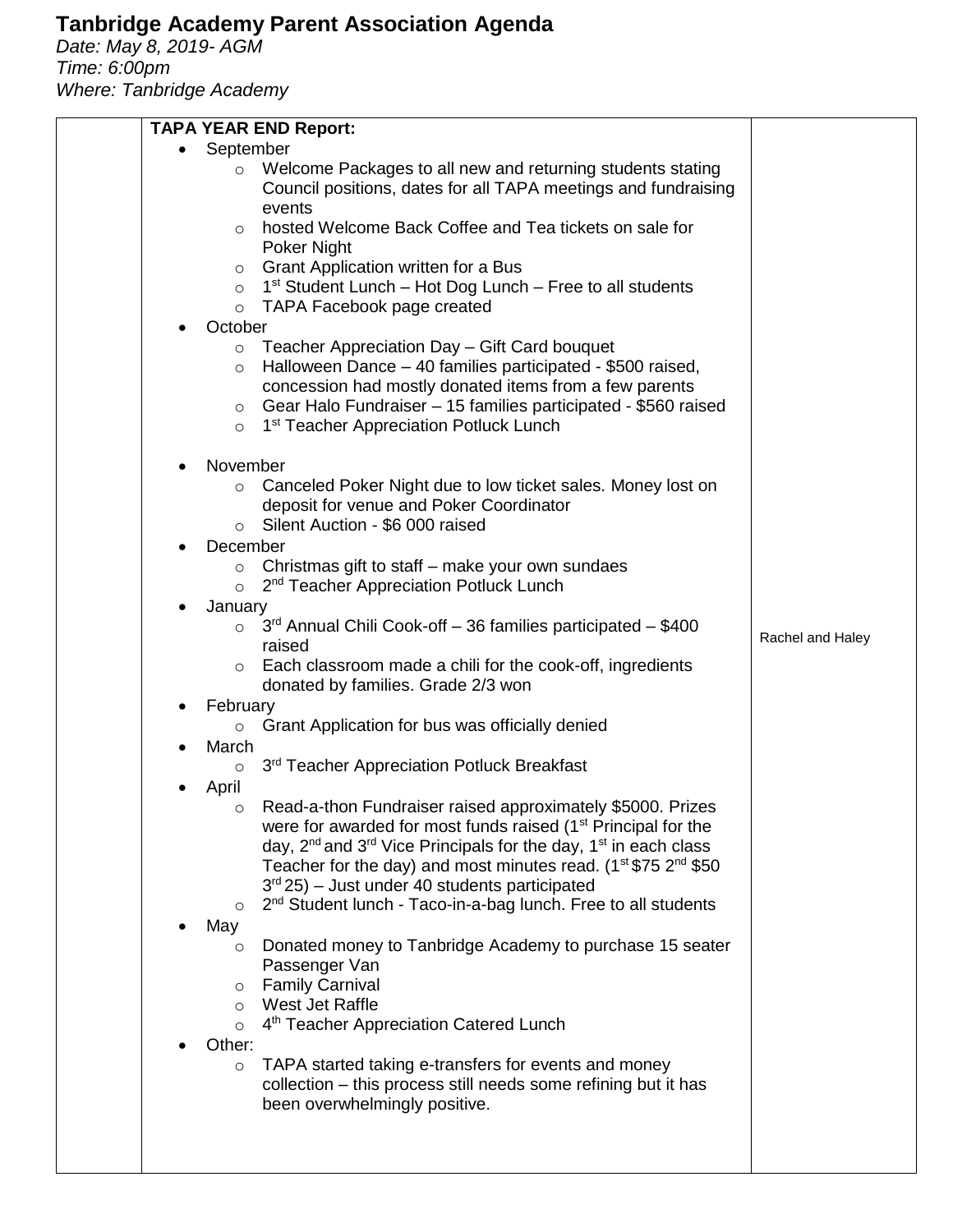*Date: May 8, 2019- AGM Time: 6:00pm Where: Tanbridge Academy*

| <b>TAPA YEAR END Report:</b>                                                                                                                                                                                                                                                                                                             |                  |
|------------------------------------------------------------------------------------------------------------------------------------------------------------------------------------------------------------------------------------------------------------------------------------------------------------------------------------------|------------------|
| September                                                                                                                                                                                                                                                                                                                                |                  |
| Welcome Packages to all new and returning students stating<br>$\circ$<br>Council positions, dates for all TAPA meetings and fundraising<br>events                                                                                                                                                                                        |                  |
| hosted Welcome Back Coffee and Tea tickets on sale for<br>$\circ$<br>Poker Night                                                                                                                                                                                                                                                         |                  |
| Grant Application written for a Bus<br>$\circ$                                                                                                                                                                                                                                                                                           |                  |
| 1 <sup>st</sup> Student Lunch – Hot Dog Lunch – Free to all students<br>$\circ$                                                                                                                                                                                                                                                          |                  |
| TAPA Facebook page created<br>$\circ$                                                                                                                                                                                                                                                                                                    |                  |
| October                                                                                                                                                                                                                                                                                                                                  |                  |
| Teacher Appreciation Day - Gift Card bouquet<br>$\circ$<br>Halloween Dance - 40 families participated - \$500 raised,<br>$\circ$<br>concession had mostly donated items from a few parents<br>Gear Halo Fundraiser – 15 families participated - \$560 raised<br>$\circ$<br>1 <sup>st</sup> Teacher Appreciation Potluck Lunch<br>$\circ$ |                  |
| November                                                                                                                                                                                                                                                                                                                                 |                  |
| Canceled Poker Night due to low ticket sales. Money lost on<br>$\circ$<br>deposit for venue and Poker Coordinator<br>Silent Auction - \$6 000 raised<br>$\circ$                                                                                                                                                                          |                  |
| December                                                                                                                                                                                                                                                                                                                                 |                  |
| Christmas gift to staff – make your own sundaes<br>$\circ$<br>2 <sup>nd</sup> Teacher Appreciation Potluck Lunch<br>$\circ$                                                                                                                                                                                                              |                  |
| January                                                                                                                                                                                                                                                                                                                                  |                  |
| $3rd$ Annual Chili Cook-off – 36 families participated – \$400<br>$\circ$<br>raised                                                                                                                                                                                                                                                      | Rachel and Haley |
| Each classroom made a chili for the cook-off, ingredients<br>$\circ$<br>donated by families. Grade 2/3 won                                                                                                                                                                                                                               |                  |
| February                                                                                                                                                                                                                                                                                                                                 |                  |
| ○ Grant Application for bus was officially denied                                                                                                                                                                                                                                                                                        |                  |
| March<br>3rd Teacher Appreciation Potluck Breakfast<br>О                                                                                                                                                                                                                                                                                 |                  |
| April                                                                                                                                                                                                                                                                                                                                    |                  |
| Read-a-thon Fundraiser raised approximately \$5000. Prizes<br>O                                                                                                                                                                                                                                                                          |                  |
| were for awarded for most funds raised (1 <sup>st</sup> Principal for the                                                                                                                                                                                                                                                                |                  |
| day, $2^{nd}$ and $3^{rd}$ Vice Principals for the day, $1^{st}$ in each class<br>Teacher for the day) and most minutes read. (1 <sup>st</sup> \$75 2 <sup>nd</sup> \$50                                                                                                                                                                 |                  |
| $3rd 25$ – Just under 40 students participated                                                                                                                                                                                                                                                                                           |                  |
| 2 <sup>nd</sup> Student lunch - Taco-in-a-bag lunch. Free to all students<br>$\circ$                                                                                                                                                                                                                                                     |                  |
| May                                                                                                                                                                                                                                                                                                                                      |                  |
| Donated money to Tanbridge Academy to purchase 15 seater<br>$\circ$<br>Passenger Van                                                                                                                                                                                                                                                     |                  |
| <b>Family Carnival</b><br>O                                                                                                                                                                                                                                                                                                              |                  |
| West Jet Raffle<br>$\circ$                                                                                                                                                                                                                                                                                                               |                  |
| 4 <sup>th</sup> Teacher Appreciation Catered Lunch<br>$\circ$<br>Other:                                                                                                                                                                                                                                                                  |                  |
| TAPA started taking e-transfers for events and money<br>$\circ$                                                                                                                                                                                                                                                                          |                  |
| collection - this process still needs some refining but it has<br>been overwhelmingly positive.                                                                                                                                                                                                                                          |                  |
|                                                                                                                                                                                                                                                                                                                                          |                  |
|                                                                                                                                                                                                                                                                                                                                          |                  |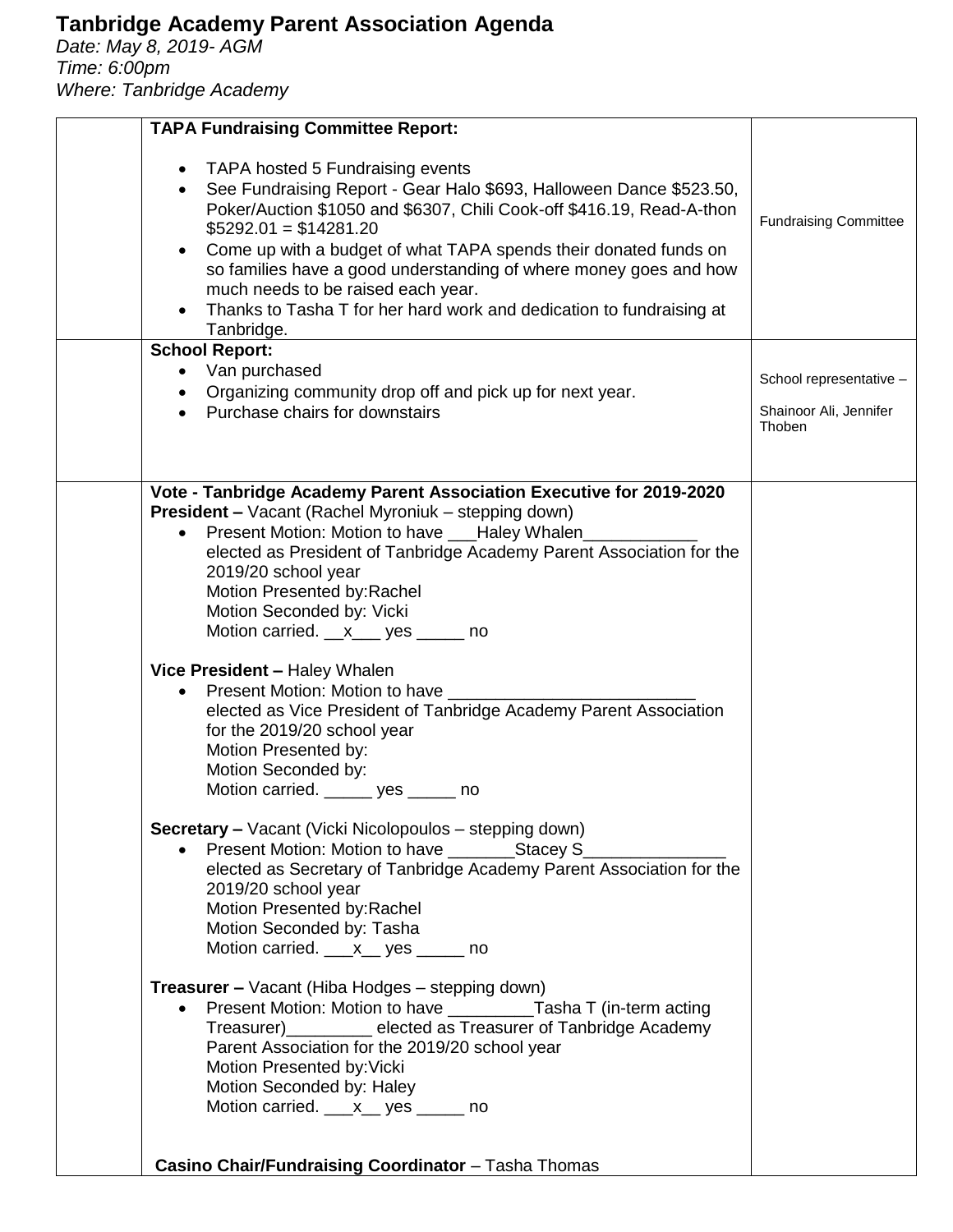*Date: May 8, 2019- AGM Time: 6:00pm Where: Tanbridge Academy*

| <b>TAPA Fundraising Committee Report:</b>                                                                                                                                                                                                                                                                                                                                                                                                                                                                                 |                                  |
|---------------------------------------------------------------------------------------------------------------------------------------------------------------------------------------------------------------------------------------------------------------------------------------------------------------------------------------------------------------------------------------------------------------------------------------------------------------------------------------------------------------------------|----------------------------------|
| • TAPA hosted 5 Fundraising events<br>• See Fundraising Report - Gear Halo \$693, Halloween Dance \$523.50,<br>Poker/Auction \$1050 and \$6307, Chili Cook-off \$416.19, Read-A-thon<br>$$5292.01 = $14281.20$<br>Come up with a budget of what TAPA spends their donated funds on<br>$\bullet$<br>so families have a good understanding of where money goes and how<br>much needs to be raised each year.<br>Thanks to Tasha T for her hard work and dedication to fundraising at<br>Tanbridge.<br><b>School Report:</b> | <b>Fundraising Committee</b>     |
| • Van purchased                                                                                                                                                                                                                                                                                                                                                                                                                                                                                                           | School representative -          |
| • Organizing community drop off and pick up for next year.                                                                                                                                                                                                                                                                                                                                                                                                                                                                |                                  |
| • Purchase chairs for downstairs                                                                                                                                                                                                                                                                                                                                                                                                                                                                                          | Shainoor Ali, Jennifer<br>Thoben |
| Vote - Tanbridge Academy Parent Association Executive for 2019-2020                                                                                                                                                                                                                                                                                                                                                                                                                                                       |                                  |
| <b>President - Vacant (Rachel Myroniuk - stepping down)</b>                                                                                                                                                                                                                                                                                                                                                                                                                                                               |                                  |
| • Present Motion: Motion to have ___Haley Whalen_                                                                                                                                                                                                                                                                                                                                                                                                                                                                         |                                  |
| elected as President of Tanbridge Academy Parent Association for the                                                                                                                                                                                                                                                                                                                                                                                                                                                      |                                  |
| 2019/20 school year                                                                                                                                                                                                                                                                                                                                                                                                                                                                                                       |                                  |
| Motion Presented by: Rachel                                                                                                                                                                                                                                                                                                                                                                                                                                                                                               |                                  |
| Motion Seconded by: Vicki                                                                                                                                                                                                                                                                                                                                                                                                                                                                                                 |                                  |
| Motion carried. x___ yes _____ no                                                                                                                                                                                                                                                                                                                                                                                                                                                                                         |                                  |
| Vice President - Haley Whalen                                                                                                                                                                                                                                                                                                                                                                                                                                                                                             |                                  |
| • Present Motion: Motion to have _________                                                                                                                                                                                                                                                                                                                                                                                                                                                                                |                                  |
| elected as Vice President of Tanbridge Academy Parent Association                                                                                                                                                                                                                                                                                                                                                                                                                                                         |                                  |
| for the 2019/20 school year                                                                                                                                                                                                                                                                                                                                                                                                                                                                                               |                                  |
| Motion Presented by:                                                                                                                                                                                                                                                                                                                                                                                                                                                                                                      |                                  |
| Motion Seconded by:                                                                                                                                                                                                                                                                                                                                                                                                                                                                                                       |                                  |
| Motion carried. ______ yes ______ no                                                                                                                                                                                                                                                                                                                                                                                                                                                                                      |                                  |
| <b>Secretary - Vacant (Vicki Nicolopoulos - stepping down)</b>                                                                                                                                                                                                                                                                                                                                                                                                                                                            |                                  |
| • Present Motion: Motion to have ____________Stacey S_                                                                                                                                                                                                                                                                                                                                                                                                                                                                    |                                  |
| elected as Secretary of Tanbridge Academy Parent Association for the                                                                                                                                                                                                                                                                                                                                                                                                                                                      |                                  |
| 2019/20 school year                                                                                                                                                                                                                                                                                                                                                                                                                                                                                                       |                                  |
| Motion Presented by: Rachel                                                                                                                                                                                                                                                                                                                                                                                                                                                                                               |                                  |
| Motion Seconded by: Tasha                                                                                                                                                                                                                                                                                                                                                                                                                                                                                                 |                                  |
| Motion carried. ___x__ yes _____ no                                                                                                                                                                                                                                                                                                                                                                                                                                                                                       |                                  |
| <b>Treasurer –</b> Vacant (Hiba Hodges – stepping down)                                                                                                                                                                                                                                                                                                                                                                                                                                                                   |                                  |
| Present Motion: Motion to have _____________Tasha T (in-term acting                                                                                                                                                                                                                                                                                                                                                                                                                                                       |                                  |
| Treasurer)__________ elected as Treasurer of Tanbridge Academy                                                                                                                                                                                                                                                                                                                                                                                                                                                            |                                  |
| Parent Association for the 2019/20 school year                                                                                                                                                                                                                                                                                                                                                                                                                                                                            |                                  |
| Motion Presented by: Vicki                                                                                                                                                                                                                                                                                                                                                                                                                                                                                                |                                  |
| Motion Seconded by: Haley                                                                                                                                                                                                                                                                                                                                                                                                                                                                                                 |                                  |
| Motion carried. <u>___x</u> __ yes ______ no                                                                                                                                                                                                                                                                                                                                                                                                                                                                              |                                  |
|                                                                                                                                                                                                                                                                                                                                                                                                                                                                                                                           |                                  |
| Casino Chair/Fundraising Coordinator - Tasha Thomas                                                                                                                                                                                                                                                                                                                                                                                                                                                                       |                                  |